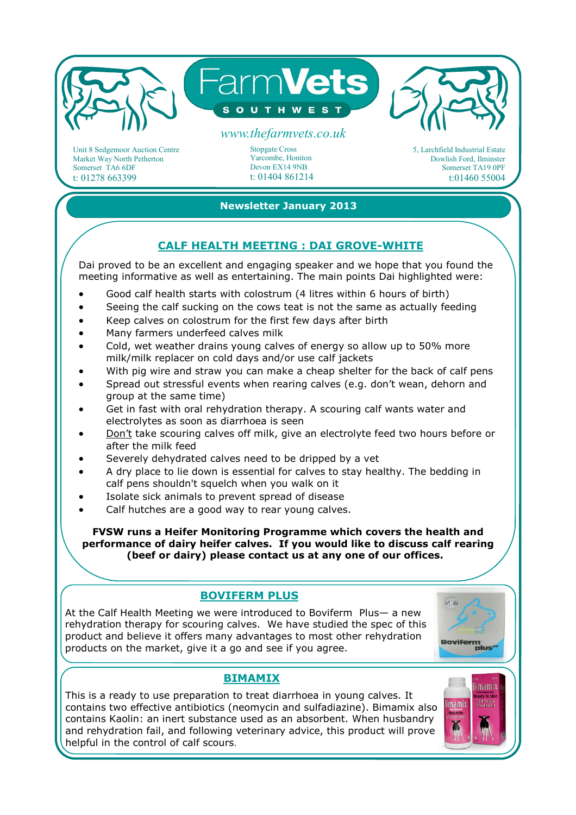

Unit 8 Sedgemoor Auction Centre Market Way North Petherton Somerset TA6 6DF t: 01278 663399

Stopgate Cross Yarcombe, Honiton Devon EX14 9NB t: 01404 861214 5, Larchfield Industrial Estate Dowlish Ford, Ilminster Somerset TA19 0PF t:01460 55004

#### **Newsletter January 2013**

#### **CALF HEALTH MEETING : DAI GROVE-WHITE**

Dai proved to be an excellent and engaging speaker and we hope that you found the meeting informative as well as entertaining. The main points Dai highlighted were:

- Good calf health starts with colostrum (4 litres within 6 hours of birth)
- Seeing the calf sucking on the cows teat is not the same as actually feeding
- Keep calves on colostrum for the first few days after birth
- Many farmers underfeed calves milk
- Cold, wet weather drains young calves of energy so allow up to 50% more milk/milk replacer on cold days and/or use calf jackets
- With pig wire and straw you can make a cheap shelter for the back of calf pens
- Spread out stressful events when rearing calves (e.g. don't wean, dehorn and group at the same time)
- Get in fast with oral rehydration therapy. A scouring calf wants water and electrolytes as soon as diarrhoea is seen
- Don't take scouring calves off milk, give an electrolyte feed two hours before or after the milk feed
- Severely dehydrated calves need to be dripped by a vet
- A dry place to lie down is essential for calves to stay healthy. The bedding in calf pens shouldn't squelch when you walk on it
- Isolate sick animals to prevent spread of disease
- Calf hutches are a good way to rear young calves.

**FVSW runs a Heifer Monitoring Programme which covers the health and performance of dairy heifer calves. If you would like to discuss calf rearing (beef or dairy) please contact us at any one of our offices.** 

# **BOVIFERM PLUS**

At the Calf Health Meeting we were introduced to Boviferm Plus— a new rehydration therapy for scouring calves. We have studied the spec of this product and believe it offers many advantages to most other rehydration products on the market, give it a go and see if you agree.



## **BIMAMIX**

This is a ready to use preparation to treat diarrhoea in young calves. It contains two effective antibiotics (neomycin and sulfadiazine). Bimamix also contains Kaolin: an inert substance used as an absorbent. When husbandry and rehydration fail, and following veterinary advice, this product will prove helpful in the control of calf scours.